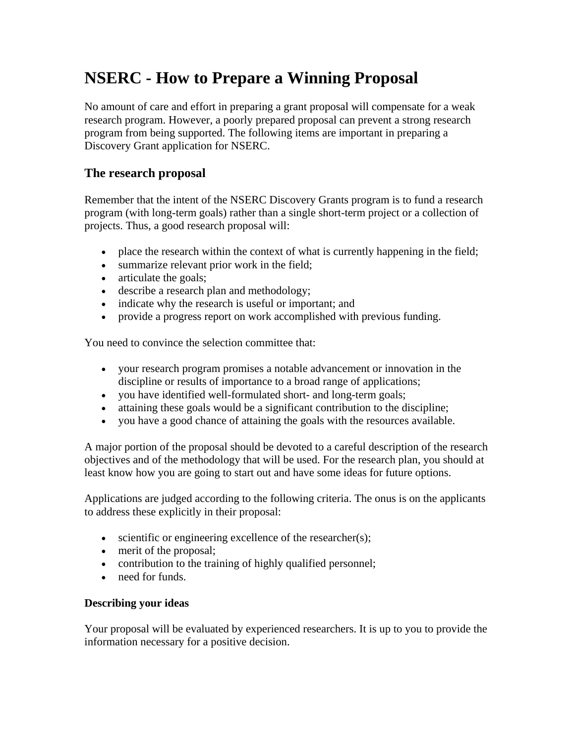## **NSERC - How to Prepare a Winning Proposal**

No amount of care and effort in preparing a grant proposal will compensate for a weak research program. However, a poorly prepared proposal can prevent a strong research program from being supported. The following items are important in preparing a Discovery Grant application for NSERC.

## **The research proposal**

Remember that the intent of the NSERC Discovery Grants program is to fund a research program (with long-term goals) rather than a single short-term project or a collection of projects. Thus, a good research proposal will:

- place the research within the context of what is currently happening in the field;
- summarize relevant prior work in the field;
- articulate the goals;
- describe a research plan and methodology;
- indicate why the research is useful or important; and
- provide a progress report on work accomplished with previous funding.

You need to convince the selection committee that:

- your research program promises a notable advancement or innovation in the discipline or results of importance to a broad range of applications;
- you have identified well-formulated short- and long-term goals;
- attaining these goals would be a significant contribution to the discipline;
- you have a good chance of attaining the goals with the resources available.

A major portion of the proposal should be devoted to a careful description of the research objectives and of the methodology that will be used. For the research plan, you should at least know how you are going to start out and have some ideas for future options.

Applications are judged according to the following criteria. The onus is on the applicants to address these explicitly in their proposal:

- scientific or engineering excellence of the researcher(s);
- merit of the proposal;
- contribution to the training of highly qualified personnel;
- need for funds.

## **Describing your ideas**

Your proposal will be evaluated by experienced researchers. It is up to you to provide the information necessary for a positive decision.